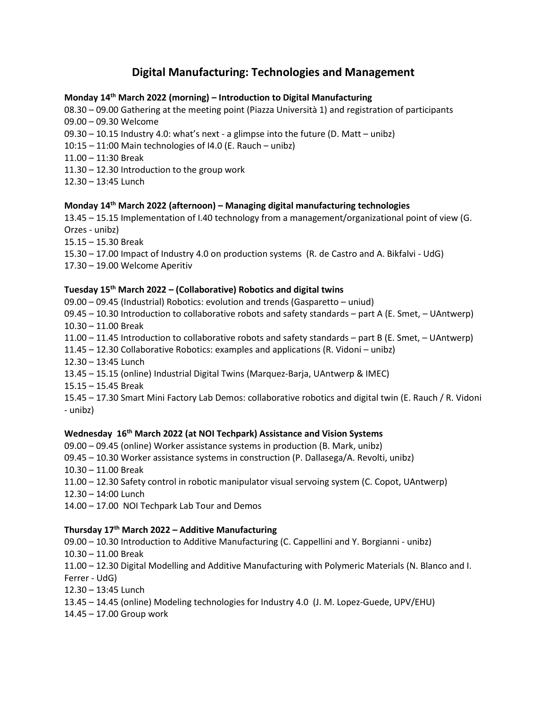# **Digital Manufacturing: Technologies and Management**

### **Monday 14th March 2022 (morning) – Introduction to Digital Manufacturing**

08.30 – 09.00 Gathering at the meeting point (Piazza Università 1) and registration of participants 09.00 – 09.30 Welcome

- 09.30 10.15 Industry 4.0: what's next a glimpse into the future (D. Matt unibz)
- 10:15 11:00 Main technologies of I4.0 (E. Rauch unibz)

11.00 – 11:30 Break

- 11.30 12.30 Introduction to the group work
- 12.30 13:45 Lunch

### **Monday 14th March 2022 (afternoon) – Managing digital manufacturing technologies**

13.45 – 15.15 Implementation of I.40 technology from a management/organizational point of view (G. Orzes - unibz)

15.15 – 15.30 Break

- 15.30 17.00 Impact of Industry 4.0 on production systems (R. de Castro and A. Bikfalvi UdG)
- 17.30 19.00 Welcome Aperitiv

### **Tuesday 15th March 2022 – (Collaborative) Robotics and digital twins**

09.00 – 09.45 (Industrial) Robotics: evolution and trends (Gasparetto – uniud) 09.45 – 10.30 Introduction to collaborative robots and safety standards – part A (E. Smet, – UAntwerp)

10.30 – 11.00 Break

11.00 – 11.45 Introduction to collaborative robots and safety standards – part B (E. Smet, – UAntwerp)

11.45 – 12.30 Collaborative Robotics: examples and applications (R. Vidoni – unibz)

- 12.30 13:45 Lunch
- 13.45 15.15 (online) Industrial Digital Twins (Marquez-Barja, UAntwerp & IMEC)
- 15.15 15.45 Break

15.45 – 17.30 Smart Mini Factory Lab Demos: collaborative robotics and digital twin (E. Rauch / R. Vidoni - unibz)

#### **Wednesday 16th March 2022 (at NOI Techpark) Assistance and Vision Systems**

- 09.00 09.45 (online) Worker assistance systems in production (B. Mark, unibz)
- 09.45 10.30 Worker assistance systems in construction (P. Dallasega/A. Revolti, unibz)
- 10.30 11.00 Break
- 11.00 12.30 Safety control in robotic manipulator visual servoing system (C. Copot, UAntwerp)
- 12.30 14:00 Lunch
- 14.00 17.00 NOI Techpark Lab Tour and Demos

## **Thursday 17th March 2022 – Additive Manufacturing**

- 09.00 10.30 Introduction to Additive Manufacturing (C. Cappellini and Y. Borgianni unibz) 10.30 – 11.00 Break 11.00 – 12.30 Digital Modelling and Additive Manufacturing with Polymeric Materials (N. Blanco and I. Ferrer - UdG)
- 12.30 13:45 Lunch
- 13.45 14.45 (online) Modeling technologies for Industry 4.0 (J. M. Lopez-Guede, UPV/EHU)
- 14.45 17.00 Group work